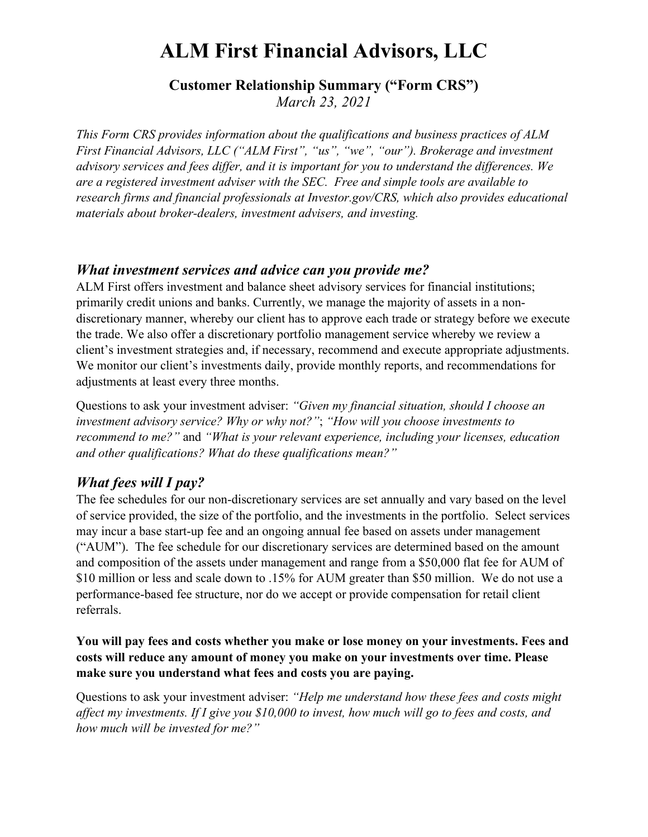# **ALM First Financial Advisors, LLC**

# **Customer Relationship Summary ("Form CRS")**

*March 23, 2021*

*This Form CRS provides information about the qualifications and business practices of ALM First Financial Advisors, LLC ("ALM First", "us", "we", "our"). Brokerage and investment advisory services and fees differ, and it is important for you to understand the differences. We are a registered investment adviser with the SEC. Free and simple tools are available to research firms and financial professionals at Investor.gov/CRS, which also provides educational materials about broker-dealers, investment advisers, and investing.*

## *What investment services and advice can you provide me?*

ALM First offers investment and balance sheet advisory services for financial institutions; primarily credit unions and banks. Currently, we manage the majority of assets in a nondiscretionary manner, whereby our client has to approve each trade or strategy before we execute the trade. We also offer a discretionary portfolio management service whereby we review a client's investment strategies and, if necessary, recommend and execute appropriate adjustments. We monitor our client's investments daily, provide monthly reports, and recommendations for adjustments at least every three months.

Questions to ask your investment adviser: *"Given my financial situation, should I choose an investment advisory service? Why or why not?"*; *"How will you choose investments to recommend to me?"* and *"What is your relevant experience, including your licenses, education and other qualifications? What do these qualifications mean?"*

# *What fees will I pay?*

The fee schedules for our non-discretionary services are set annually and vary based on the level of service provided, the size of the portfolio, and the investments in the portfolio. Select services may incur a base start-up fee and an ongoing annual fee based on assets under management ("AUM"). The fee schedule for our discretionary services are determined based on the amount and composition of the assets under management and range from a \$50,000 flat fee for AUM of \$10 million or less and scale down to .15% for AUM greater than \$50 million. We do not use a performance-based fee structure, nor do we accept or provide compensation for retail client referrals.

#### **You will pay fees and costs whether you make or lose money on your investments. Fees and costs will reduce any amount of money you make on your investments over time. Please make sure you understand what fees and costs you are paying.**

Questions to ask your investment adviser: *"Help me understand how these fees and costs might affect my investments. If I give you \$10,000 to invest, how much will go to fees and costs, and how much will be invested for me?"*